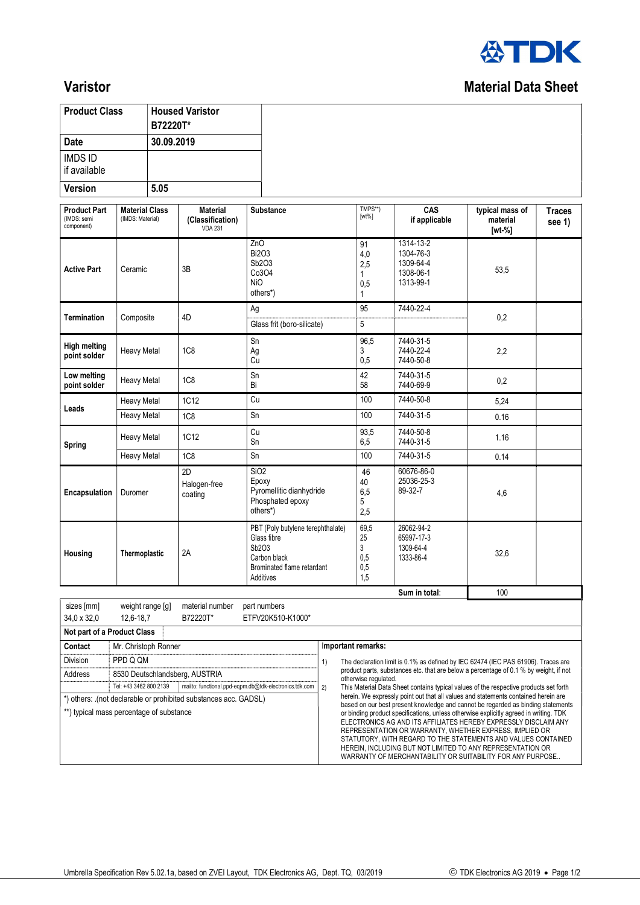

### **Varistor** Material Data Sheet

| <b>Product Class</b>                             |                                           | <b>Housed Varistor</b><br>B72220T*                    |                                                                                                                      |    |                                                                                                                                                                                                        |                                                                                   |                                       |                         |  |
|--------------------------------------------------|-------------------------------------------|-------------------------------------------------------|----------------------------------------------------------------------------------------------------------------------|----|--------------------------------------------------------------------------------------------------------------------------------------------------------------------------------------------------------|-----------------------------------------------------------------------------------|---------------------------------------|-------------------------|--|
| Date                                             |                                           | 30.09.2019                                            |                                                                                                                      |    |                                                                                                                                                                                                        |                                                                                   |                                       |                         |  |
| <b>IMDS ID</b><br>if available                   |                                           |                                                       |                                                                                                                      |    |                                                                                                                                                                                                        |                                                                                   |                                       |                         |  |
| <b>Version</b>                                   | 5.05                                      |                                                       |                                                                                                                      |    |                                                                                                                                                                                                        |                                                                                   |                                       |                         |  |
| <b>Product Part</b><br>(IMDS: semi<br>component) | <b>Material Class</b><br>(IMDS: Material) | <b>Material</b><br>(Classification)<br><b>VDA 231</b> | <b>Substance</b>                                                                                                     |    | TMPS**)<br>$[wt\%]$                                                                                                                                                                                    | CAS<br>if applicable                                                              | typical mass of<br>material<br>[wt %] | <b>Traces</b><br>see 1) |  |
| <b>Active Part</b>                               | Ceramic                                   | 3B                                                    | ZnO<br><b>Bi2O3</b><br>Sb2O3<br>Co3O4<br><b>NiO</b><br>others*)                                                      |    | 91<br>4,0<br>2,5<br>1<br>0,5<br>1                                                                                                                                                                      | $1314 - 13 - 2$<br>1304-76-3<br>1309-64-4<br>1308-06-1<br>1313-99-1               | 53,5                                  |                         |  |
| <b>Termination</b>                               | Composite                                 | 4D                                                    | Ag<br>Glass frit (boro-silicate)                                                                                     |    | 95<br>5                                                                                                                                                                                                | 7440-22-4                                                                         | 0,2                                   |                         |  |
| <b>High melting</b><br>point solder              | <b>Heavy Metal</b>                        | 1C <sub>8</sub>                                       | Sn<br>Ag<br>Cu                                                                                                       |    | 96,5<br>3<br>0,5                                                                                                                                                                                       | 7440-31-5<br>7440-22-4<br>7440-50-8                                               | 2,2                                   |                         |  |
| Low melting<br>point solder                      | <b>Heavy Metal</b>                        | <b>1C8</b>                                            | Sn<br>Bi                                                                                                             |    | 42<br>58                                                                                                                                                                                               | 7440-31-5<br>7440-69-9                                                            | 0,2                                   |                         |  |
|                                                  | Heavy Metal                               | <b>1C12</b>                                           | Cu                                                                                                                   |    | 100                                                                                                                                                                                                    | 7440-50-8                                                                         | 5,24                                  |                         |  |
| Leads                                            | <b>Heavy Metal</b>                        | 1C <sub>8</sub>                                       | Sn                                                                                                                   |    | 100                                                                                                                                                                                                    | 7440-31-5                                                                         | 0.16                                  |                         |  |
| <b>Spring</b>                                    | <b>Heavy Metal</b>                        | 1C12                                                  | Cu<br>Sn                                                                                                             |    | 93,5<br>6,5                                                                                                                                                                                            | 7440-50-8<br>7440-31-5                                                            | 1.16                                  |                         |  |
|                                                  | <b>Heavy Metal</b>                        | 1C <sub>8</sub>                                       | Sn                                                                                                                   |    | 100                                                                                                                                                                                                    | 7440-31-5                                                                         | 0.14                                  |                         |  |
| Encapsulation                                    | Duromer                                   | 2D<br>Halogen-free<br>coating                         | SiO <sub>2</sub><br>Epoxy<br>Pyromellitic dianhydride<br>Phosphated epoxy<br>others*)                                |    | 46<br>40<br>6,5<br>5<br>2,5                                                                                                                                                                            | 60676-86-0<br>25036-25-3<br>89-32-7                                               | 4,6                                   |                         |  |
| Housing                                          | Thermoplastic                             | 2A                                                    | PBT (Poly butylene terephthalate)<br>Glass fibre<br>Sb2O3<br>Carbon black<br>Brominated flame retardant<br>Additives |    | 69,5<br>25<br>3<br>0.5<br>0,5<br>1,5                                                                                                                                                                   | 26062-94-2<br>65997-17-3<br>1309-64-4<br>1333-86-4                                | 32,6                                  |                         |  |
|                                                  |                                           |                                                       |                                                                                                                      |    |                                                                                                                                                                                                        | Sum in total:                                                                     | 100                                   |                         |  |
| sizes [mm]<br>34,0 x 32,0                        | weight range [g]<br>12,6-18,7             | material number<br>B72220T*                           | part numbers<br>ETFV20K510-K1000*                                                                                    |    |                                                                                                                                                                                                        |                                                                                   |                                       |                         |  |
| Not part of a Product Class                      |                                           |                                                       |                                                                                                                      |    |                                                                                                                                                                                                        |                                                                                   |                                       |                         |  |
| Contact                                          | Mr. Christoph Ronner                      |                                                       |                                                                                                                      |    | Important remarks:                                                                                                                                                                                     |                                                                                   |                                       |                         |  |
| Division                                         | PPD Q QM                                  |                                                       |                                                                                                                      | 1) |                                                                                                                                                                                                        | The declaration limit is 0.1% as defined by IEC 62474 (IEC PAS 61906). Traces are |                                       |                         |  |
| Address                                          | Tel: +43 3462 800 2139                    | 8530 Deutschlandsberg, AUSTRIA                        | mailto: functional.ppd-eqpm.db@tdk-electronics.tdk.com                                                               | 2) | product parts, substances etc. that are below a percentage of 0.1 % by weight, if not<br>otherwise requlated.<br>This Material Data Sheet contains typical values of the respective products set forth |                                                                                   |                                       |                         |  |

\*) others: .(not declarable or prohibited substances acc. GADSL)

\*\*) typical mass percentage of substance

# herein. We expressly point out that all values and statements contained herein are

based on our best present knowledge and cannot be regarded as binding statements or binding product specifications, unless otherwise explicitly agreed in writing. TDK ELECTRONICS AG AND ITS AFFILIATES HEREBY EXPRESSLY DISCLAIM ANY REPRESENTATION OR WARRANTY, WHETHER EXPRESS, IMPLIED OR STATUTORY, WITH REGARD TO THE STATEMENTS AND VALUES CONTAINED HEREIN, INCLUDING BUT NOT LIMITED TO ANY REPRESENTATION OR WARRANTY OF MERCHANTABILITY OR SUITABILITY FOR ANY PURPOSE..